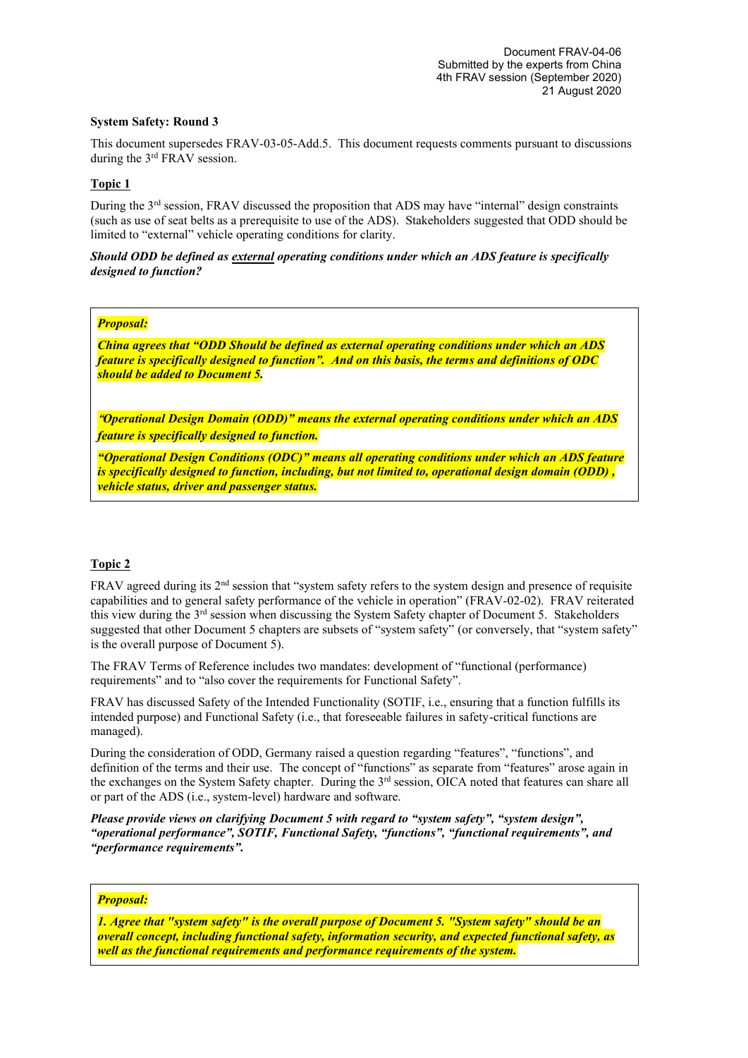## **System Safety: Round 3**

This document supersedes FRAV-03-05-Add.5. This document requests comments pursuant to discussions during the 3<sup>rd</sup> FRAV session.

## **Topic 1**

During the 3<sup>rd</sup> session, FRAV discussed the proposition that ADS may have "internal" design constraints (such as use of seat belts as a prerequisite to use of the ADS). Stakeholders suggested that ODD should be limited to "external" vehicle operating conditions for clarity.

*Should ODD be defined as external operating conditions under which an ADS feature is specifically designed to function?*

## *Proposal:*

*China agrees that "ODD Should be defined as external operating conditions under which an ADS feature is specifically designed to function". And on this basis, the terms and definitions of ODC should be added to Document 5.*

**"***Operational Design Domain (ODD)" means the external operating conditions under which an ADS feature is specifically designed to function.*

*"Operational Design Conditions (ODC)" means all operating conditions under which an ADS feature is specifically designed to function, including, but not limited to, operational design domain (ODD) , vehicle status, driver and passenger status.*

#### **Topic 2**

FRAV agreed during its 2<sup>nd</sup> session that "system safety refers to the system design and presence of requisite capabilities and to general safety performance of the vehicle in operation" (FRAV-02-02). FRAV reiterated this view during the  $3<sup>rd</sup>$  session when discussing the System Safety chapter of Document 5. Stakeholders suggested that other Document 5 chapters are subsets of "system safety" (or conversely, that "system safety" is the overall purpose of Document 5).

The FRAV Terms of Reference includes two mandates: development of "functional (performance) requirements" and to "also cover the requirements for Functional Safety".

FRAV has discussed Safety of the Intended Functionality (SOTIF, i.e., ensuring that a function fulfills its intended purpose) and Functional Safety (i.e., that foreseeable failures in safety-critical functions are managed).

During the consideration of ODD, Germany raised a question regarding "features", "functions", and definition of the terms and their use. The concept of "functions" as separate from "features" arose again in the exchanges on the System Safety chapter. During the 3rd session, OICA noted that features can share all or part of the ADS (i.e., system-level) hardware and software.

*Please provide views on clarifying Document 5 with regard to "system safety", "system design", "operational performance", SOTIF, Functional Safety, "functions", "functional requirements", and "performance requirements".*

# *Proposal:*

*1. Agree that "system safety" is the overall purpose of Document 5. "System safety" should be an overall concept, including functional safety, information security, and expected functional safety, as well as the functional requirements and performance requirements of the system.*